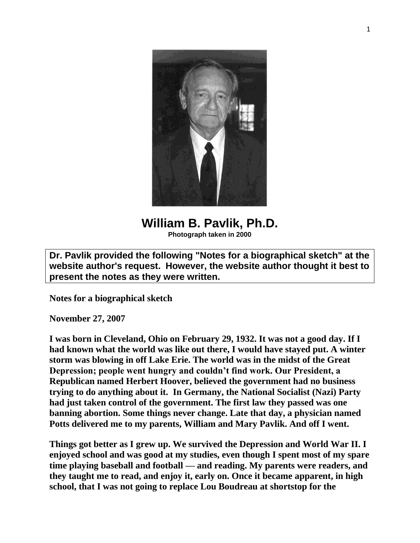

**William B. Pavlik, Ph.D. Photograph taken in 2000**

**Dr. Pavlik provided the following "Notes for a biographical sketch" at the website author's request. However, the website author thought it best to present the notes as they were written.**

**Notes for a biographical sketch**

**November 27, 2007**

**I was born in Cleveland, Ohio on February 29, 1932. It was not a good day. If I had known what the world was like out there, I would have stayed put. A winter storm was blowing in off Lake Erie. The world was in the midst of the Great Depression; people went hungry and couldn't find work. Our President, a Republican named Herbert Hoover, believed the government had no business trying to do anything about it. In Germany, the National Socialist (Nazi) Party had just taken control of the government. The first law they passed was one banning abortion. Some things never change. Late that day, a physician named Potts delivered me to my parents, William and Mary Pavlik. And off I went.**

**Things got better as I grew up. We survived the Depression and World War II. I enjoyed school and was good at my studies, even though I spent most of my spare time playing baseball and football — and reading. My parents were readers, and they taught me to read, and enjoy it, early on. Once it became apparent, in high school, that I was not going to replace Lou Boudreau at shortstop for the**